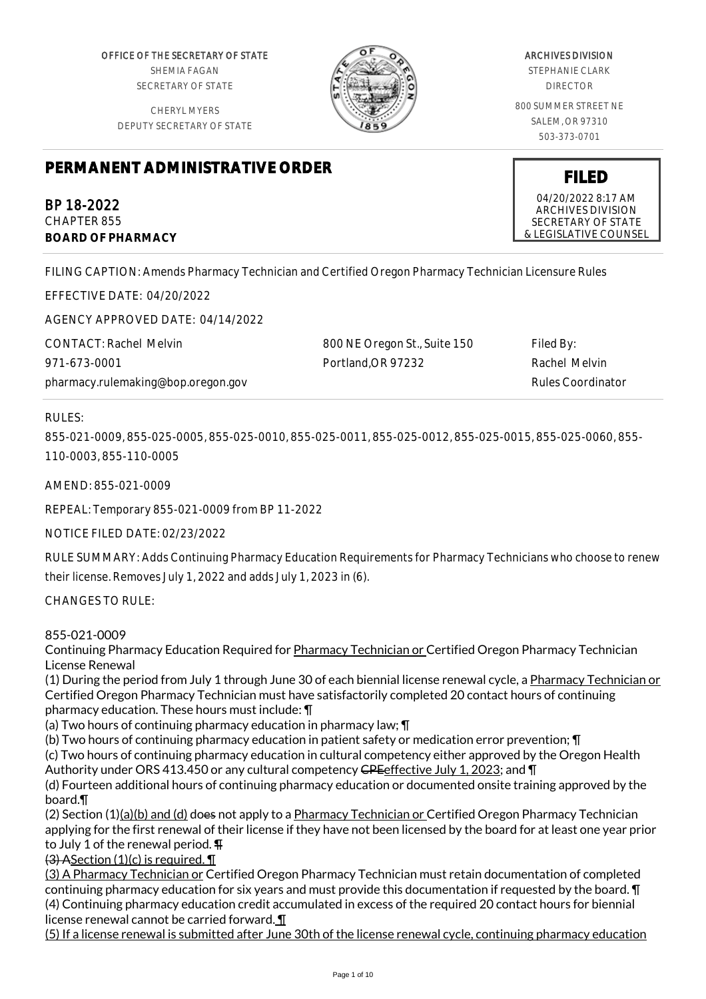OFFICE OF THE SECRETARY OF STATE SHEMIA FAGAN SECRETARY OF STATE

CHERYL MYERS DEPUTY SECRETARY OF STATE



# ARCHIVES DIVISION

STEPHANIE CLARK DIRECTOR

800 SUMMER STREET NE SALEM, OR 97310 503-373-0701

# **PERMANENT ADMINISTRATIVE ORDER**

BP 18-2022 CHAPTER 855 **BOARD OF PHARMACY**

FILING CAPTION: Amends Pharmacy Technician and Certified Oregon Pharmacy Technician Licensure Rules

EFFECTIVE DATE: 04/20/2022

AGENCY APPROVED DATE: 04/14/2022

| <b>CONTACT: Rachel Melvin</b>      | 800 NE Oregon St., Suite 150 | Filed By:         |
|------------------------------------|------------------------------|-------------------|
| 971-673-0001                       | Portland.OR 97232            | Rachel Melvin     |
| pharmacy.rulemaking@bop.oregon.gov |                              | Rules Coordinator |

# RULES:

855-021-0009, 855-025-0005, 855-025-0010, 855-025-0011, 855-025-0012, 855-025-0015, 855-025-0060, 855- 110-0003, 855-110-0005

AMEND: 855-021-0009

REPEAL: Temporary 855-021-0009 from BP 11-2022

NOTICE FILED DATE: 02/23/2022

RULE SUMMARY: Adds Continuing Pharmacy Education Requirements for Pharmacy Technicians who choose to renew their license. Removes July 1, 2022 and adds July 1, 2023 in (6).

CHANGES TO RULE:

# 855-021-0009

Continuing Pharmacy Education Required for Pharmacy Technician or Certified Oregon Pharmacy Technician License Renewal

(1) During the period from July 1 through June 30 of each biennial license renewal cycle, a Pharmacy Technician or Certified Oregon Pharmacy Technician must have satisfactorily completed 20 contact hours of continuing pharmacy education. These hours must include: ¶

(a) Two hours of continuing pharmacy education in pharmacy law; ¶

(b) Two hours of continuing pharmacy education in patient safety or medication error prevention; ¶

(c) Two hours of continuing pharmacy education in cultural competency either approved by the Oregon Health Authority under ORS 413.450 or any cultural competency CPE effective July 1, 2023; and \[

(d) Fourteen additional hours of continuing pharmacy education or documented onsite training approved by the board.¶

(2) Section (1)(a)(b) and (d) does not apply to a Pharmacy Technician or Certified Oregon Pharmacy Technician applying for the first renewal of their license if they have not been licensed by the board for at least one year prior to July 1 of the renewal period. ¶

 $(3)$  ASection  $(1)(c)$  is required.  $\P$ 

(3) A Pharmacy Technician or Certified Oregon Pharmacy Technician must retain documentation of completed continuing pharmacy education for six years and must provide this documentation if requested by the board. ¶ (4) Continuing pharmacy education credit accumulated in excess of the required 20 contact hours for biennial license renewal cannot be carried forward. ¶

(5) If a license renewal is submitted after June 30th of the license renewal cycle, continuing pharmacy education

**FILED**

04/20/2022 8:17 AM ARCHIVES DIVISION SECRETARY OF STATE & LEGISLATIVE COUNSEL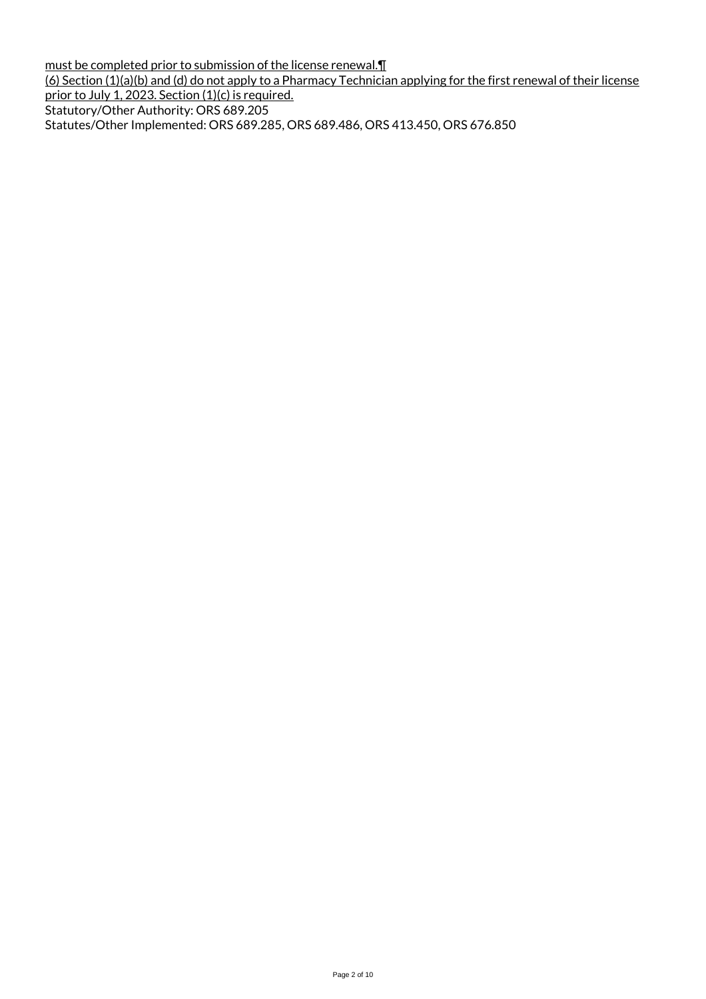must be completed prior to submission of the license renewal.¶ (6) Section (1)(a)(b) and (d) do not apply to a Pharmacy Technician applying for the first renewal of their license prior to July 1, 2023. Section (1)(c) is required. Statutory/Other Authority: ORS 689.205 Statutes/Other Implemented: ORS 689.285, ORS 689.486, ORS 413.450, ORS 676.850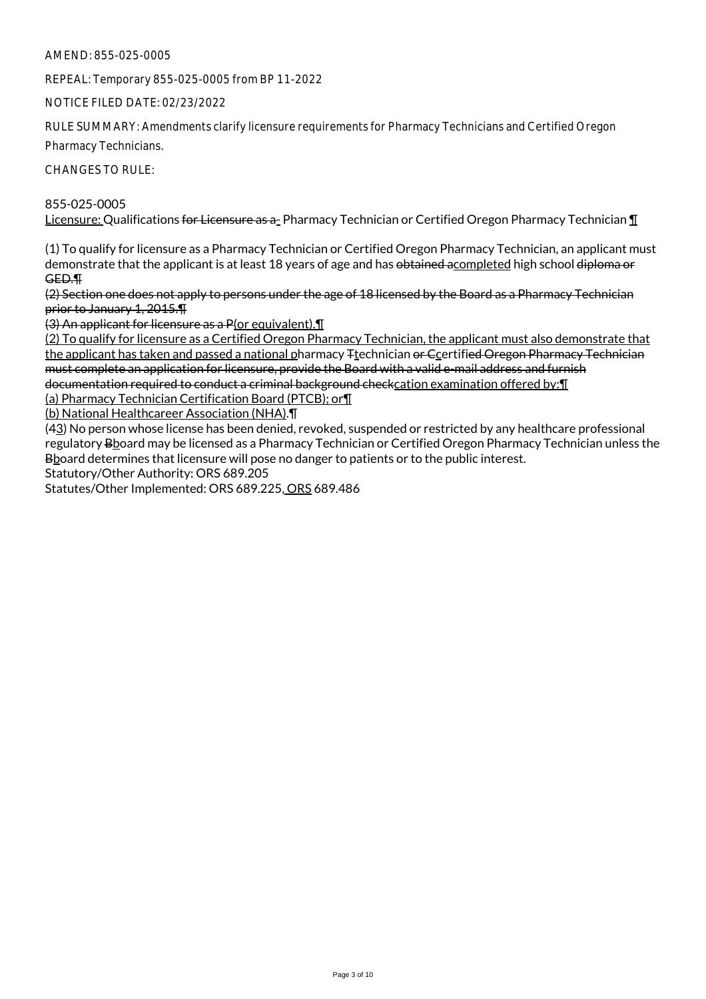REPEAL: Temporary 855-025-0005 from BP 11-2022

NOTICE FILED DATE: 02/23/2022

RULE SUMMARY: Amendments clarify licensure requirements for Pharmacy Technicians and Certified Oregon

Pharmacy Technicians.

CHANGES TO RULE:

855-025-0005 Licensure: Qualifications for Licensure as a- Pharmacy Technician or Certified Oregon Pharmacy Technician ¶

(1) To qualify for licensure as a Pharmacy Technician or Certified Oregon Pharmacy Technician, an applicant must demonstrate that the applicant is at least 18 years of age and has obtained acompleted high school diploma or GED.¶

(2) Section one does not apply to persons under the age of 18 licensed by the Board as a Pharmacy Technician prior to January 1, 2015.¶

(3) An applicant for licensure as a P(or equivalent).¶

(2) To qualify for licensure as a Certified Oregon Pharmacy Technician, the applicant must also demonstrate that the applicant has taken and passed a national pharmacy <sub>F</sub>technician or Ccertified Oregon Pharmacy Technician must complete an application for licensure, provide the Board with a valid e-mail address and furnish documentation required to conduct a criminal background checkcation examination offered by: [1]

(a) Pharmacy Technician Certification Board (PTCB); or¶

(b) National Healthcareer Association (NHA).¶

(43) No person whose license has been denied, revoked, suspended or restricted by any healthcare professional regulatory Bhoard may be licensed as a Pharmacy Technician or Certified Oregon Pharmacy Technician unless the B board determines that licensure will pose no danger to patients or to the public interest.

Statutory/Other Authority: ORS 689.205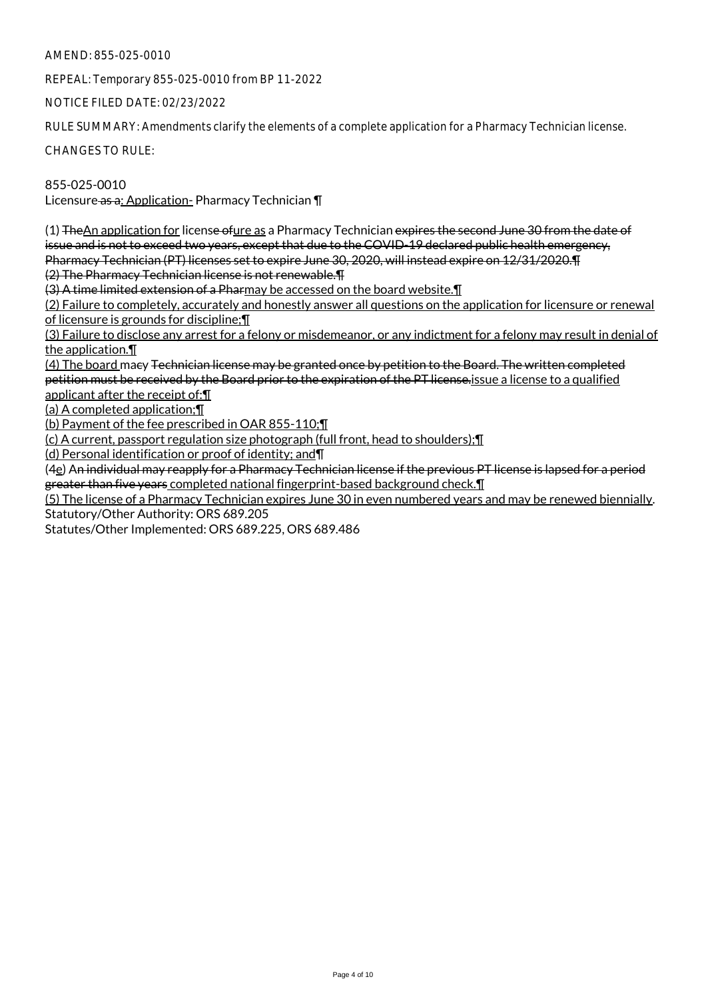REPEAL: Temporary 855-025-0010 from BP 11-2022

NOTICE FILED DATE: 02/23/2022

RULE SUMMARY: Amendments clarify the elements of a complete application for a Pharmacy Technician license.

CHANGES TO RULE:

855-025-0010 Licensure as a: Application- Pharmacy Technician \[

(1) The An application for license of ure as a Pharmacy Technician expires the second June 30 from the date of issue and is not to exceed two years, except that due to the COVID-19 declared public health emergency, Pharmacy Technician (PT) licenses set to expire June 30, 2020, will instead expire on 12/31/2020.¶ (2) The Pharmacy Technician license is not renewable.¶

(3) A time limited extension of a Pharmay be accessed on the board website.¶

(2) Failure to completely, accurately and honestly answer all questions on the application for licensure or renewal of licensure is grounds for discipline;¶

(3) Failure to disclose any arrest for a felony or misdemeanor, or any indictment for a felony may result in denial of the application.¶

(4) The board macy Technician license may be granted once by petition to the Board. The written completed petition must be received by the Board prior to the expiration of the PT license.issue a license to a qualified applicant after the receipt of:¶

(a) A completed application;¶

(b) Payment of the fee prescribed in OAR 855-110;¶

(c) A current, passport regulation size photograph (full front, head to shoulders);¶

(d) Personal identification or proof of identity; and¶

(4e) An individual may reapply for a Pharmacy Technician license if the previous PT license is lapsed for a period greater than five years completed national fingerprint-based background check.¶

(5) The license of a Pharmacy Technician expires June 30 in even numbered years and may be renewed biennially. Statutory/Other Authority: ORS 689.205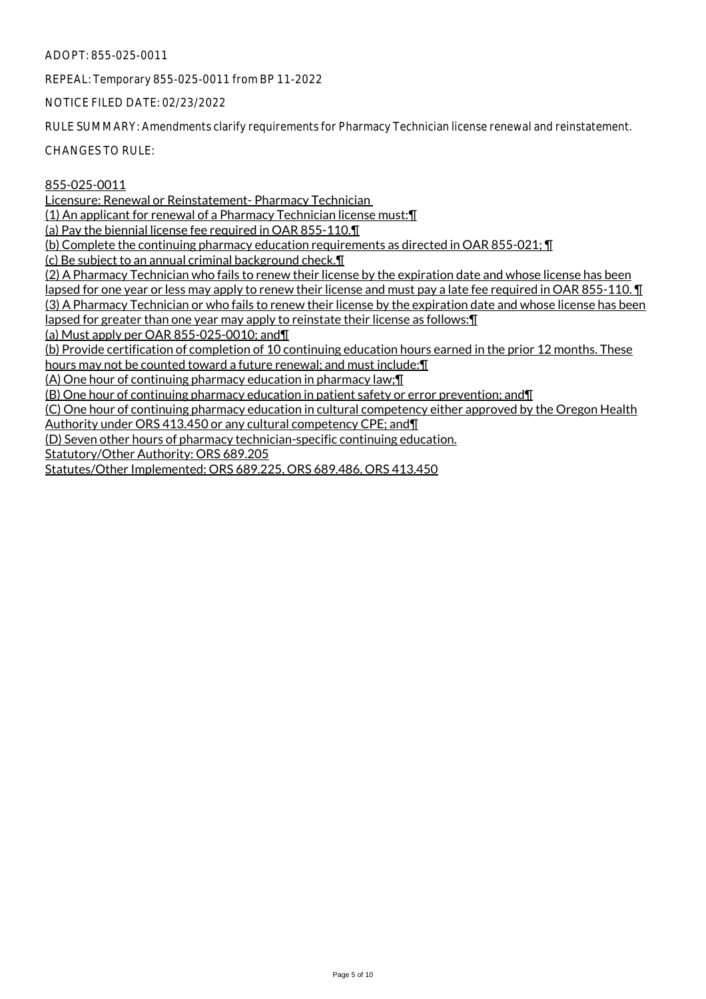ADOPT: 855-025-0011

REPEAL: Temporary 855-025-0011 from BP 11-2022

NOTICE FILED DATE: 02/23/2022

RULE SUMMARY: Amendments clarify requirements for Pharmacy Technician license renewal and reinstatement.

CHANGES TO RULE:

#### 855-025-0011

Licensure: Renewal or Reinstatement- Pharmacy Technician

(1) An applicant for renewal of a Pharmacy Technician license must:¶

(a) Pay the biennial license fee required in OAR 855-110.¶

(b) Complete the continuing pharmacy education requirements as directed in OAR 855-021; ¶

(c) Be subject to an annual criminal background check.¶

(2) A Pharmacy Technician who fails to renew their license by the expiration date and whose license has been lapsed for one year or less may apply to renew their license and must pay a late fee required in OAR 855-110. ¶ (3) A Pharmacy Technician or who fails to renew their license by the expiration date and whose license has been lapsed for greater than one year may apply to reinstate their license as follows:¶

(a) Must apply per OAR 855-025-0010; and¶

(b) Provide certification of completion of 10 continuing education hours earned in the prior 12 months. These

hours may not be counted toward a future renewal; and must include: I

(A) One hour of continuing pharmacy education in pharmacy law;¶

(B) One hour of continuing pharmacy education in patient safety or error prevention; and¶

(C) One hour of continuing pharmacy education in cultural competency either approved by the Oregon Health Authority under ORS 413.450 or any cultural competency CPE; and¶

(D) Seven other hours of pharmacy technician-specific continuing education.

Statutory/Other Authority: ORS 689.205

Statutes/Other Implemented: ORS 689.225, ORS 689.486, ORS 413.450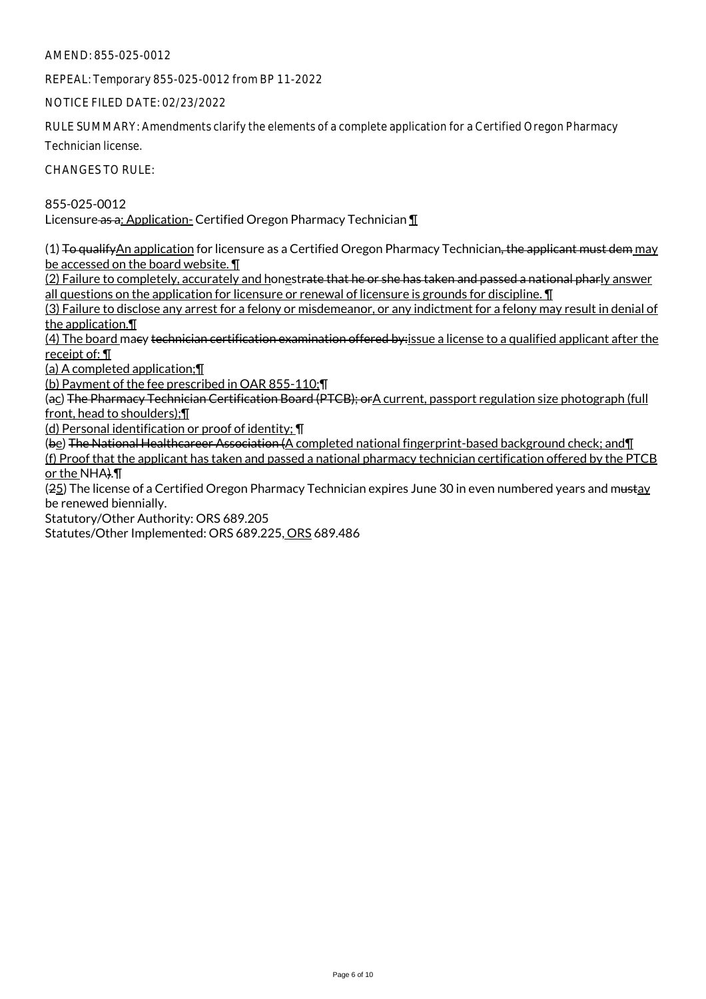REPEAL: Temporary 855-025-0012 from BP 11-2022

NOTICE FILED DATE: 02/23/2022

RULE SUMMARY: Amendments clarify the elements of a complete application for a Certified Oregon Pharmacy

Technician license.

CHANGES TO RULE:

855-025-0012 Licensure as a: Application- Certified Oregon Pharmacy Technician  $\P$ 

 $(1)$  To qualify An application for licensure as a Certified Oregon Pharmacy Technician, the applicant must dem may be accessed on the board website. ¶

(2) Failure to completely, accurately and honest<del>rate that he or she has taken and passed a national phar</del>ly answer all questions on the application for licensure or renewal of licensure is grounds for discipline. ¶

(3) Failure to disclose any arrest for a felony or misdemeanor, or any indictment for a felony may result in denial of the application.¶

(4) The board maey technician certification examination offered by: issue a license to a qualified applicant after the receipt of: ¶

(a) A completed application;¶

(b) Payment of the fee prescribed in OAR 855-110;¶

(ac) The Pharmacy Technician Certification Board (PTCB); orA current, passport regulation size photograph (full front, head to shoulders);¶

(d) Personal identification or proof of identity; ¶

(be) The National Healthcareer Association (A completed national fingerprint-based background check; and II (f) Proof that the applicant has taken and passed a national pharmacy technician certification offered by the PTCB or the NHA).¶

(25) The license of a Certified Oregon Pharmacy Technician expires June 30 in even numbered years and mustay be renewed biennially.

Statutory/Other Authority: ORS 689.205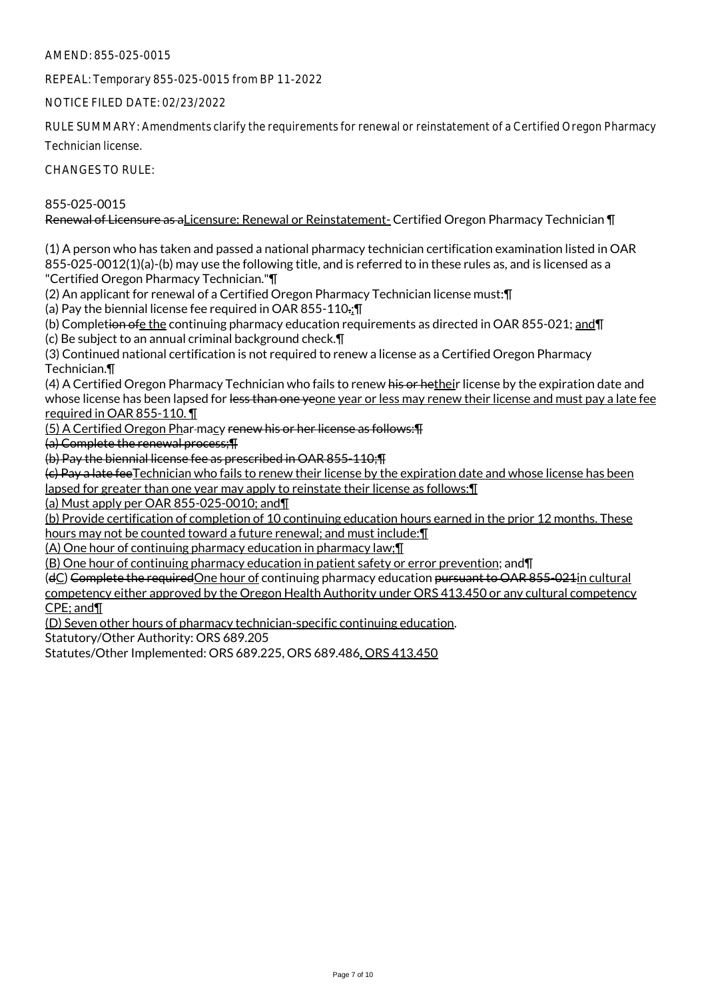REPEAL: Temporary 855-025-0015 from BP 11-2022

NOTICE FILED DATE: 02/23/2022

RULE SUMMARY: Amendments clarify the requirements for renewal or reinstatement of a Certified Oregon Pharmacy

Technician license.

CHANGES TO RULE:

# 855-025-0015

Renewal of Licensure as aLicensure: Renewal or Reinstatement- Certified Oregon Pharmacy Technician ¶

(1) A person who has taken and passed a national pharmacy technician certification examination listed in OAR 855-025-0012(1)(a)-(b) may use the following title, and is referred to in these rules as, and is licensed as a "Certified Oregon Pharmacy Technician."¶

(2) An applicant for renewal of a Certified Oregon Pharmacy Technician license must:¶

(a) Pay the biennial license fee required in OAR 855-110.; I

(b) Completion ofe the continuing pharmacy education requirements as directed in OAR 855-021; and T

(c) Be subject to an annual criminal background check.¶

(3) Continued national certification is not required to renew a license as a Certified Oregon Pharmacy Technician.¶

(4) A Certified Oregon Pharmacy Technician who fails to renew his or hetheir license by the expiration date and whose license has been lapsed for <del>less than one ye</del>one year or less may renew their license and must pay a late fee required in OAR 855-110. ¶

(5) A Certified Oregon Phar macy renew his or her license as follows:¶

(a) Complete the renewal process;¶

(b) Pay the biennial license fee as prescribed in OAR 855-110;¶

(c) Pay a late feeTechnician who fails to renew their license by the expiration date and whose license has been lapsed for greater than one year may apply to reinstate their license as follows:¶

(a) Must apply per OAR 855-025-0010; and¶

(b) Provide certification of completion of 10 continuing education hours earned in the prior 12 months. These hours may not be counted toward a future renewal; and must include:¶

(A) One hour of continuing pharmacy education in pharmacy law;¶

(B) One hour of continuing pharmacy education in patient safety or error prevention; and¶

(dC) Complete the requiredOne hour of continuing pharmacy education pursuant to OAR 855-021in cultural competency either approved by the Oregon Health Authority under ORS 413.450 or any cultural competency CPE; and¶

(D) Seven other hours of pharmacy technician-specific continuing education.

Statutory/Other Authority: ORS 689.205

Statutes/Other Implemented: ORS 689.225, ORS 689.486, ORS 413.450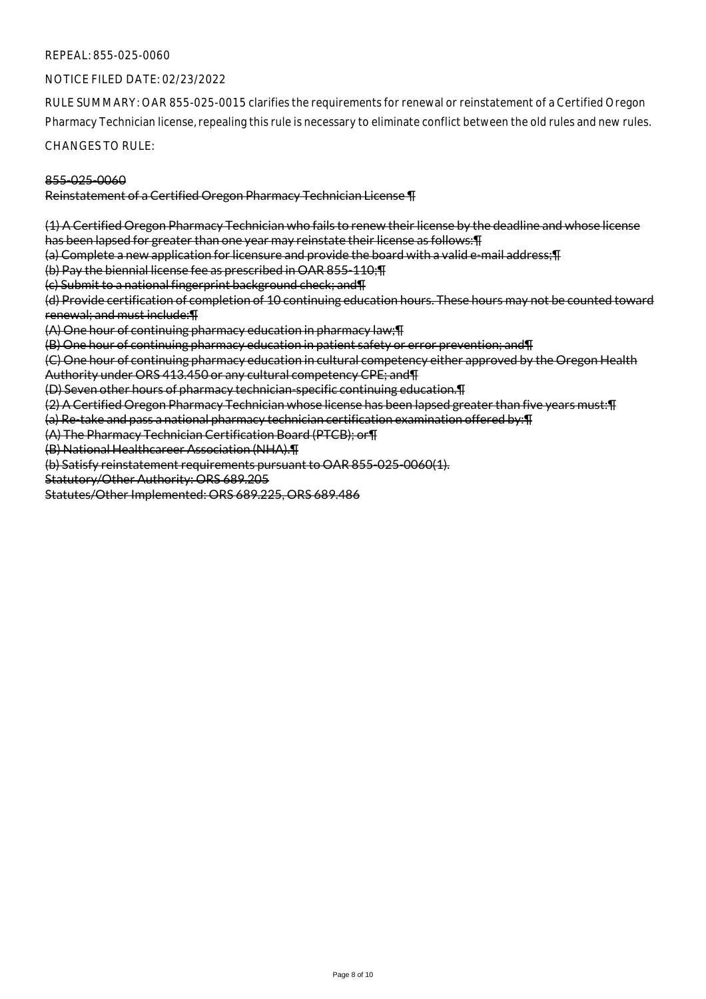#### REPEAL: 855-025-0060

#### NOTICE FILED DATE: 02/23/2022

RULE SUMMARY: OAR 855-025-0015 clarifies the requirements for renewal or reinstatement of a Certified Oregon Pharmacy Technician license, repealing this rule is necessary to eliminate conflict between the old rules and new rules.

CHANGES TO RULE:

#### 855-025-0060

#### Reinstatement of a Certified Oregon Pharmacy Technician License ¶

(1) A Certified Oregon Pharmacy Technician who fails to renew their license by the deadline and whose license has been lapsed for greater than one year may reinstate their license as follows:¶

(a) Complete a new application for licensure and provide the board with a valid e-mail address;¶

(b) Pay the biennial license fee as prescribed in OAR 855-110;¶

(c) Submit to a national fingerprint background check; and¶

(d) Provide certification of completion of 10 continuing education hours. These hours may not be counted toward renewal; and must include:¶

(A) One hour of continuing pharmacy education in pharmacy law;¶

(B) One hour of continuing pharmacy education in patient safety or error prevention; and¶

(C) One hour of continuing pharmacy education in cultural competency either approved by the Oregon Health Authority under ORS 413.450 or any cultural competency CPE; and¶

(D) Seven other hours of pharmacy technician-specific continuing education.¶

(2) A Certified Oregon Pharmacy Technician whose license has been lapsed greater than five years must:¶

(a) Re-take and pass a national pharmacy technician certification examination offered by:¶

(A) The Pharmacy Technician Certification Board (PTCB); or¶

(B) National Healthcareer Association (NHA).¶

(b) Satisfy reinstatement requirements pursuant to OAR 855-025-0060(1).

Statutory/Other Authority: ORS 689.205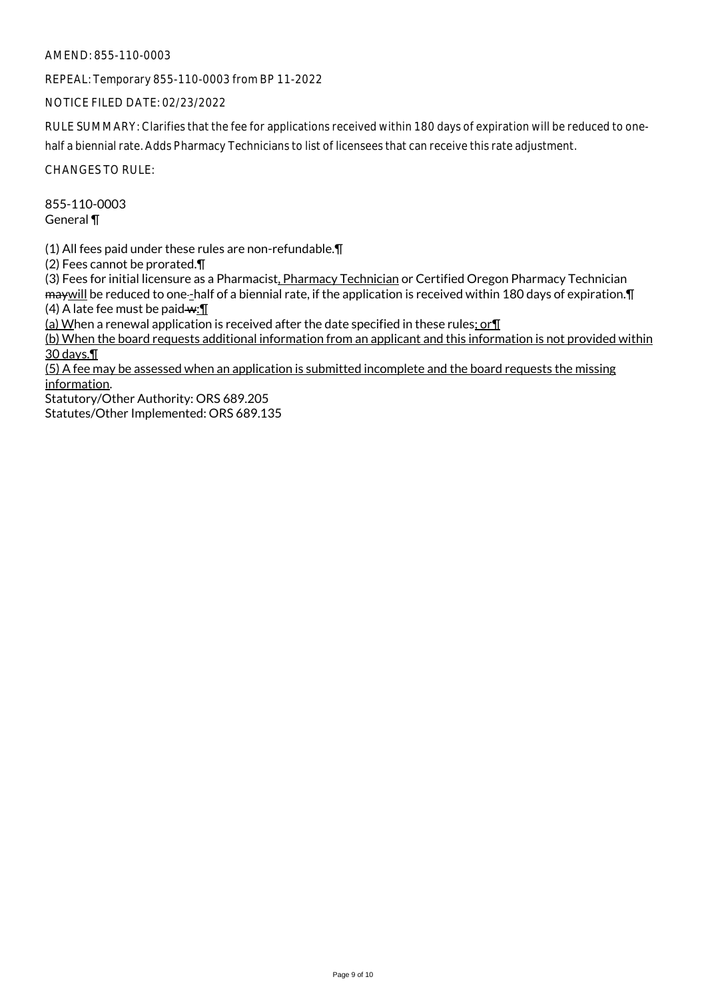AMEND: 855-110-0003

REPEAL: Temporary 855-110-0003 from BP 11-2022

NOTICE FILED DATE: 02/23/2022

RULE SUMMARY: Clarifies that the fee for applications received within 180 days of expiration will be reduced to onehalf a biennial rate. Adds Pharmacy Technicians to list of licensees that can receive this rate adjustment.

CHANGES TO RULE:

855-110-0003 General ¶

(1) All fees paid under these rules are non-refundable.¶

(2) Fees cannot be prorated.¶

(3) Fees for initial licensure as a Pharmacist, Pharmacy Technician or Certified Oregon Pharmacy Technician may will be reduced to one-half of a biennial rate, if the application is received within 180 days of expiration. In (4) A late fee must be paid  $\mathbf{w}$ :  $\P$ 

(a) When a renewal application is received after the date specified in these rules; or  $\P$ 

(b) When the board requests additional information from an applicant and this information is not provided within 30 days.¶

(5) A fee may be assessed when an application is submitted incomplete and the board requests the missing information.

Statutory/Other Authority: ORS 689.205 Statutes/Other Implemented: ORS 689.135